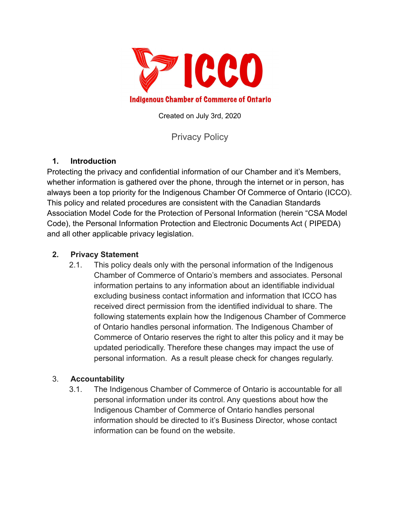

Created on July 3rd, 2020

Privacy Policy

## **1. Introduction**

Protecting the privacy and confidential information of our Chamber and it's Members, whether information is gathered over the phone, through the internet or in person, has always been a top priority for the Indigenous Chamber Of Commerce of Ontario (ICCO). This policy and related procedures are consistent with the Canadian Standards Association Model Code for the Protection of Personal Information (herein "CSA Model Code), the Personal Information Protection and Electronic Documents Act ( PIPEDA) and all other applicable privacy legislation.

#### **2. Privacy Statement**

2.1. This policy deals only with the personal information of the Indigenous Chamber of Commerce of Ontario's members and associates. Personal information pertains to any information about an identifiable individual excluding business contact information and information that ICCO has received direct permission from the identified individual to share. The following statements explain how the Indigenous Chamber of Commerce of Ontario handles personal information. The Indigenous Chamber of Commerce of Ontario reserves the right to alter this policy and it may be updated periodically. Therefore these changes may impact the use of personal information. As a result please check for changes regularly.

#### 3. **Accountability**

3.1. The Indigenous Chamber of Commerce of Ontario is accountable for all personal information under its control. Any questions about how the Indigenous Chamber of Commerce of Ontario handles personal information should be directed to it's Business Director, whose contact information can be found on the website.